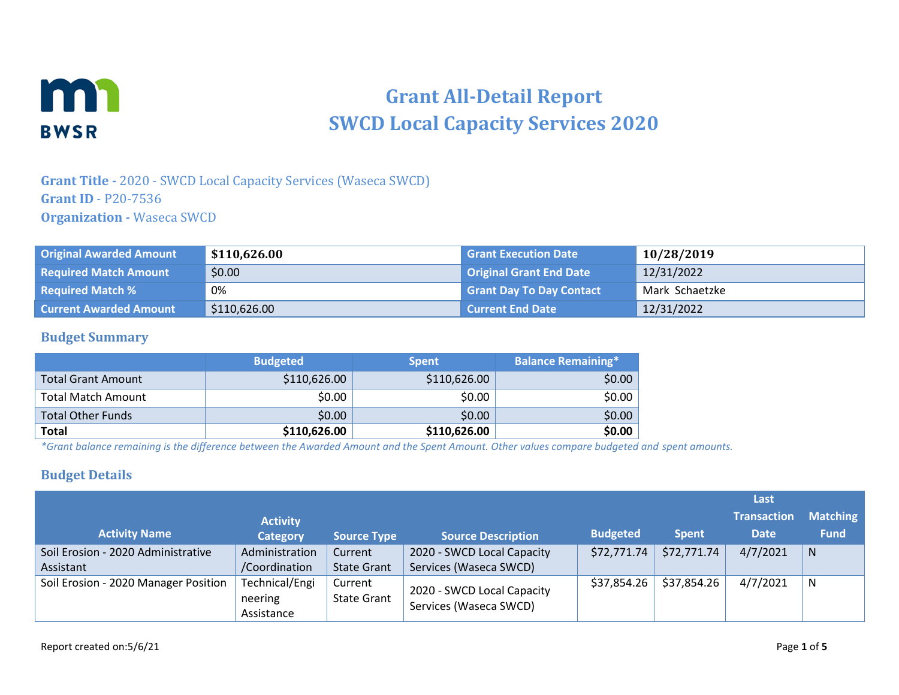

# **Grant All-Detail Report SWCD Local Capacity Services 2020**

#### **Grant Title -** 2020 - SWCD Local Capacity Services (Waseca SWCD) **Grant ID** - P20-7536 **Organization -** Waseca SWCD

| <b>Original Awarded Amount</b> | \$110,626.00 | <b>Grant Execution Date</b>     | 10/28/2019     |
|--------------------------------|--------------|---------------------------------|----------------|
| <b>Required Match Amount</b>   | \$0.00       | <b>Original Grant End Date</b>  | 12/31/2022     |
| <b>Required Match %</b>        | 0%           | <b>Grant Day To Day Contact</b> | Mark Schaetzke |
| <b>Current Awarded Amount</b>  | \$110,626.00 | <b>Current End Date</b>         | 12/31/2022     |

#### **Budget Summary**

|                           | <b>Budgeted</b> | <b>Spent</b> | Balance Remaining* |
|---------------------------|-----------------|--------------|--------------------|
| <b>Total Grant Amount</b> | \$110,626.00    | \$110,626.00 | \$0.00             |
| <b>Total Match Amount</b> | \$0.00          | \$0.00       | \$0.00             |
| <b>Total Other Funds</b>  | \$0.00          | \$0.00       | \$0.00             |
| <b>Total</b>              | \$110,626.00    | \$110,626.00 | \$0.00             |

*\*Grant balance remaining is the difference between the Awarded Amount and the Spent Amount. Other values compare budgeted and spent amounts.*

#### **Budget Details**

|                                      |                                         |                               |                                                      |                 |              | Last               |                 |
|--------------------------------------|-----------------------------------------|-------------------------------|------------------------------------------------------|-----------------|--------------|--------------------|-----------------|
|                                      | <b>Activity</b>                         |                               |                                                      |                 |              | <b>Transaction</b> | <b>Matching</b> |
| <b>Activity Name</b>                 | <b>Category</b>                         | <b>Source Type</b>            | <b>Source Description</b>                            | <b>Budgeted</b> | <b>Spent</b> | <b>Date</b>        | <b>Fund</b>     |
| Soil Erosion - 2020 Administrative   | Administration                          | Current                       | 2020 - SWCD Local Capacity                           | \$72,771.74     | \$72,771.74  | 4/7/2021           | N               |
| Assistant                            | /Coordination                           | <b>State Grant</b>            | Services (Waseca SWCD)                               |                 |              |                    |                 |
| Soil Erosion - 2020 Manager Position | Technical/Engi<br>neering<br>Assistance | Current<br><b>State Grant</b> | 2020 - SWCD Local Capacity<br>Services (Waseca SWCD) | \$37,854.26     | \$37,854.26  | 4/7/2021           | N               |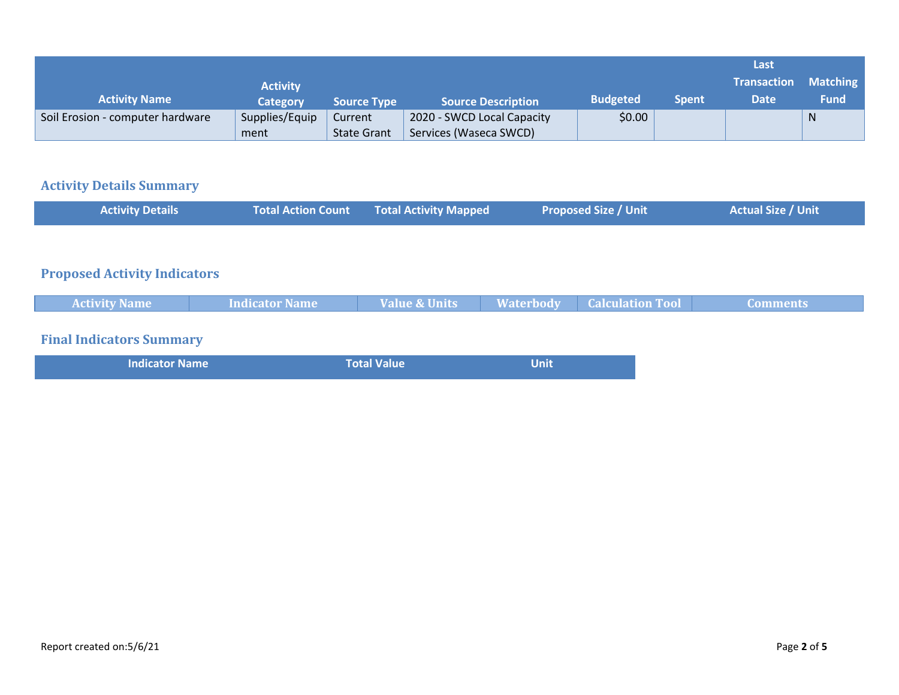|                                  |                 |                    |                            |                 |              | Last                              |                                |
|----------------------------------|-----------------|--------------------|----------------------------|-----------------|--------------|-----------------------------------|--------------------------------|
| <b>Activity Name</b>             | <b>Activity</b> |                    | <b>Source Description</b>  | <b>Budgeted</b> | <b>Spent</b> | <b>Transaction</b><br><b>Date</b> | <b>Matching</b><br><b>Fund</b> |
|                                  | Category        | <b>Source Type</b> |                            |                 |              |                                   |                                |
| Soil Erosion - computer hardware | Supplies/Equip  | Current            | 2020 - SWCD Local Capacity | \$0.00          |              |                                   | N                              |
|                                  |                 |                    |                            |                 |              |                                   |                                |
|                                  | ment            | <b>State Grant</b> | Services (Waseca SWCD)     |                 |              |                                   |                                |

## **Activity Details Summary**

| <b>Activity Details</b>             | <b>Total Action Count</b> | <b>Total Activity Mapped</b> |                  | <b>Proposed Size / Unit</b> | <b>Actual Size / Unit</b> |
|-------------------------------------|---------------------------|------------------------------|------------------|-----------------------------|---------------------------|
|                                     |                           |                              |                  |                             |                           |
| <b>Proposed Activity Indicators</b> |                           |                              |                  |                             |                           |
| <b>Activity Name</b>                | <b>Indicator Name</b>     | <b>Value &amp; Units</b>     | <b>Waterbody</b> | <b>Calculation Tool</b>     | <b>Comments</b>           |
| <b>Final Indicators Summary</b>     |                           |                              |                  |                             |                           |
| <b>Indicator Name</b>               |                           | <b>Total Value</b>           | <b>Unit</b>      |                             |                           |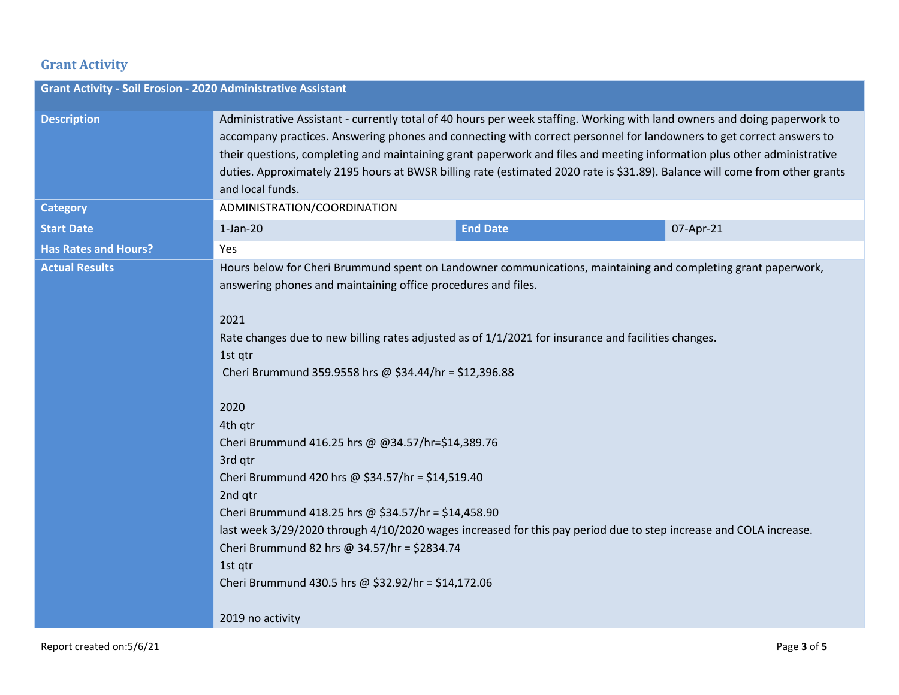### **Grant Activity**

| <b>Grant Activity - Soil Erosion - 2020 Administrative Assistant</b> |                                                                                                                                                                                                                                                                                                                                                                                                                                                                                                                                                                                                                                                                                                                                                                                                                      |                 |           |  |
|----------------------------------------------------------------------|----------------------------------------------------------------------------------------------------------------------------------------------------------------------------------------------------------------------------------------------------------------------------------------------------------------------------------------------------------------------------------------------------------------------------------------------------------------------------------------------------------------------------------------------------------------------------------------------------------------------------------------------------------------------------------------------------------------------------------------------------------------------------------------------------------------------|-----------------|-----------|--|
| <b>Description</b>                                                   | Administrative Assistant - currently total of 40 hours per week staffing. Working with land owners and doing paperwork to<br>accompany practices. Answering phones and connecting with correct personnel for landowners to get correct answers to<br>their questions, completing and maintaining grant paperwork and files and meeting information plus other administrative<br>duties. Approximately 2195 hours at BWSR billing rate (estimated 2020 rate is \$31.89). Balance will come from other grants<br>and local funds.                                                                                                                                                                                                                                                                                      |                 |           |  |
| <b>Category</b>                                                      | ADMINISTRATION/COORDINATION                                                                                                                                                                                                                                                                                                                                                                                                                                                                                                                                                                                                                                                                                                                                                                                          |                 |           |  |
| <b>Start Date</b>                                                    | $1-Jan-20$                                                                                                                                                                                                                                                                                                                                                                                                                                                                                                                                                                                                                                                                                                                                                                                                           | <b>End Date</b> | 07-Apr-21 |  |
| <b>Has Rates and Hours?</b>                                          | Yes                                                                                                                                                                                                                                                                                                                                                                                                                                                                                                                                                                                                                                                                                                                                                                                                                  |                 |           |  |
| <b>Actual Results</b>                                                | Hours below for Cheri Brummund spent on Landowner communications, maintaining and completing grant paperwork,<br>answering phones and maintaining office procedures and files.<br>2021<br>Rate changes due to new billing rates adjusted as of 1/1/2021 for insurance and facilities changes.<br>1st gtr<br>Cheri Brummund 359.9558 hrs @ \$34.44/hr = \$12,396.88<br>2020<br>4th qtr<br>Cheri Brummund 416.25 hrs @ @34.57/hr=\$14,389.76<br>3rd qtr<br>Cheri Brummund 420 hrs @ \$34.57/hr = \$14,519.40<br>2nd qtr<br>Cheri Brummund 418.25 hrs @ \$34.57/hr = \$14,458.90<br>last week 3/29/2020 through 4/10/2020 wages increased for this pay period due to step increase and COLA increase.<br>Cheri Brummund 82 hrs @ 34.57/hr = \$2834.74<br>1st gtr<br>Cheri Brummund 430.5 hrs @ \$32.92/hr = \$14,172.06 |                 |           |  |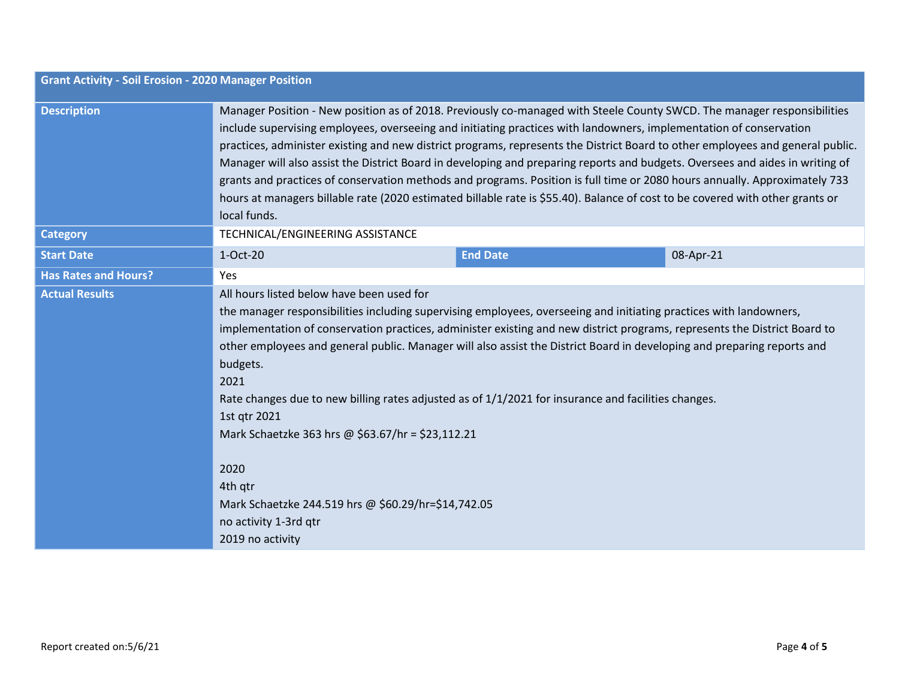| <b>Grant Activity - Soil Erosion - 2020 Manager Position</b> |                                                                                                                                                                                                                                                                                                                                                                                                                                                                                                                                                                                                                                                                                                                                                                                                 |                                                                                                                                                                                                                                                                                                                                                                                                                                                                                                                                                                                               |           |  |
|--------------------------------------------------------------|-------------------------------------------------------------------------------------------------------------------------------------------------------------------------------------------------------------------------------------------------------------------------------------------------------------------------------------------------------------------------------------------------------------------------------------------------------------------------------------------------------------------------------------------------------------------------------------------------------------------------------------------------------------------------------------------------------------------------------------------------------------------------------------------------|-----------------------------------------------------------------------------------------------------------------------------------------------------------------------------------------------------------------------------------------------------------------------------------------------------------------------------------------------------------------------------------------------------------------------------------------------------------------------------------------------------------------------------------------------------------------------------------------------|-----------|--|
| <b>Description</b>                                           | Manager Position - New position as of 2018. Previously co-managed with Steele County SWCD. The manager responsibilities<br>include supervising employees, overseeing and initiating practices with landowners, implementation of conservation<br>practices, administer existing and new district programs, represents the District Board to other employees and general public.<br>Manager will also assist the District Board in developing and preparing reports and budgets. Oversees and aides in writing of<br>grants and practices of conservation methods and programs. Position is full time or 2080 hours annually. Approximately 733<br>hours at managers billable rate (2020 estimated billable rate is \$55.40). Balance of cost to be covered with other grants or<br>local funds. |                                                                                                                                                                                                                                                                                                                                                                                                                                                                                                                                                                                               |           |  |
| <b>Category</b>                                              | TECHNICAL/ENGINEERING ASSISTANCE                                                                                                                                                                                                                                                                                                                                                                                                                                                                                                                                                                                                                                                                                                                                                                |                                                                                                                                                                                                                                                                                                                                                                                                                                                                                                                                                                                               |           |  |
| <b>Start Date</b>                                            | 1-Oct-20                                                                                                                                                                                                                                                                                                                                                                                                                                                                                                                                                                                                                                                                                                                                                                                        | <b>End Date</b>                                                                                                                                                                                                                                                                                                                                                                                                                                                                                                                                                                               | 08-Apr-21 |  |
| <b>Has Rates and Hours?</b>                                  | Yes                                                                                                                                                                                                                                                                                                                                                                                                                                                                                                                                                                                                                                                                                                                                                                                             |                                                                                                                                                                                                                                                                                                                                                                                                                                                                                                                                                                                               |           |  |
| <b>Actual Results</b>                                        | All hours listed below have been used for<br>budgets.<br>2021<br>1st qtr 2021<br>2020<br>4th gtr<br>no activity 1-3rd qtr<br>2019 no activity                                                                                                                                                                                                                                                                                                                                                                                                                                                                                                                                                                                                                                                   | the manager responsibilities including supervising employees, overseeing and initiating practices with landowners,<br>implementation of conservation practices, administer existing and new district programs, represents the District Board to<br>other employees and general public. Manager will also assist the District Board in developing and preparing reports and<br>Rate changes due to new billing rates adjusted as of 1/1/2021 for insurance and facilities changes.<br>Mark Schaetzke 363 hrs @ \$63.67/hr = \$23,112.21<br>Mark Schaetzke 244.519 hrs @ \$60.29/hr=\$14,742.05 |           |  |